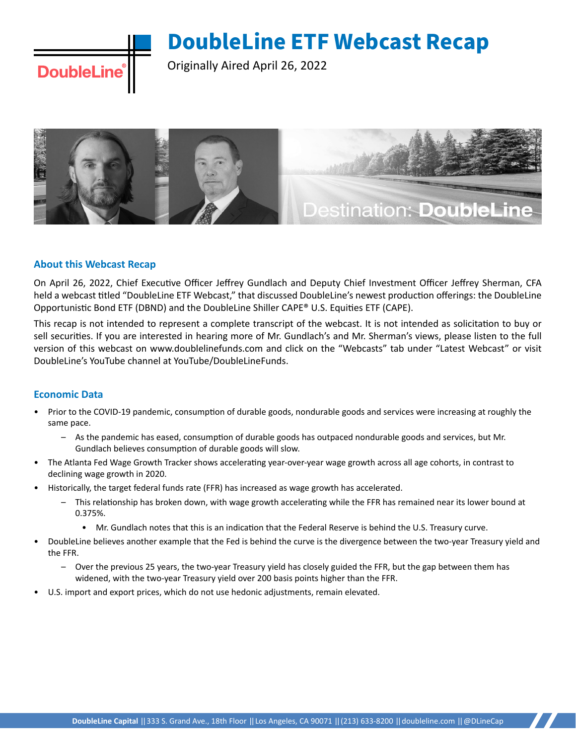Originally Aired April 26, 2022



## **About this Webcast Recap**

**DoubleLine** 

On April 26, 2022, Chief Executive Officer Jeffrey Gundlach and Deputy Chief Investment Officer Jeffrey Sherman, CFA held a webcast titled "DoubleLine ETF Webcast," that discussed DoubleLine's newest production offerings: the DoubleLine Opportunistic Bond ETF (DBND) and the DoubleLine Shiller CAPE® U.S. Equities ETF (CAPE).

This recap is not intended to represent a complete transcript of the webcast. It is not intended as solicitation to buy or sell securities. If you are interested in hearing more of Mr. Gundlach's and Mr. Sherman's views, please listen to the full version of this webcast on www.doublelinefunds.com and click on the "Webcasts" tab under "Latest Webcast" or visit DoubleLine's YouTube channel at YouTube/DoubleLineFunds.

## **Economic Data**

- Prior to the COVID-19 pandemic, consumption of durable goods, nondurable goods and services were increasing at roughly the same pace.
	- As the pandemic has eased, consumption of durable goods has outpaced nondurable goods and services, but Mr. Gundlach believes consumption of durable goods will slow.
- The Atlanta Fed Wage Growth Tracker shows accelerating year-over-year wage growth across all age cohorts, in contrast to declining wage growth in 2020.
- Historically, the target federal funds rate (FFR) has increased as wage growth has accelerated.
	- This relationship has broken down, with wage growth accelerating while the FFR has remained near its lower bound at 0.375%.
		- Mr. Gundlach notes that this is an indication that the Federal Reserve is behind the U.S. Treasury curve.
- DoubleLine believes another example that the Fed is behind the curve is the divergence between the two-year Treasury yield and the FFR.
	- Over the previous 25 years, the two-year Treasury yield has closely guided the FFR, but the gap between them has widened, with the two-year Treasury yield over 200 basis points higher than the FFR.
- U.S. import and export prices, which do not use hedonic adjustments, remain elevated.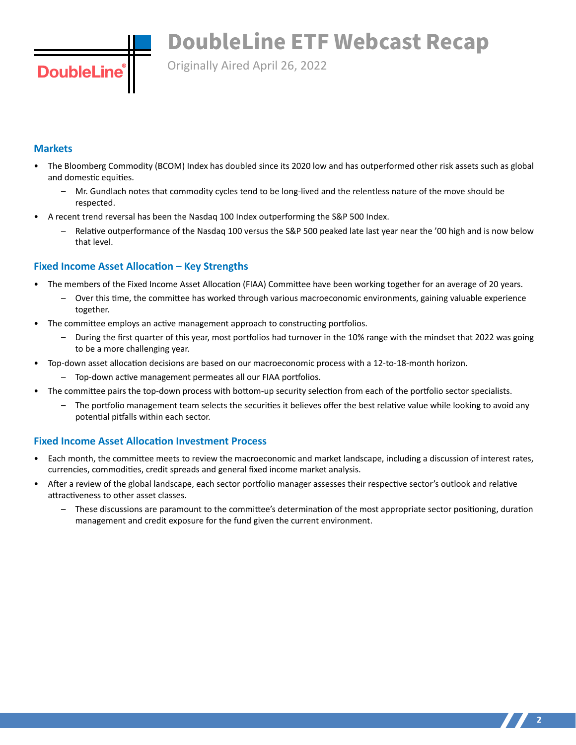Originally Aired April 26, 2022

## **Markets**

**DoubleLin** 

- The Bloomberg Commodity (BCOM) Index has doubled since its 2020 low and has outperformed other risk assets such as global and domestic equities.
	- Mr. Gundlach notes that commodity cycles tend to be long-lived and the relentless nature of the move should be respected.
- A recent trend reversal has been the Nasdaq 100 Index outperforming the S&P 500 Index.
	- Relative outperformance of the Nasdaq 100 versus the S&P 500 peaked late last year near the '00 high and is now below that level.

## **Fixed Income Asset Allocation – Key Strengths**

- The members of the Fixed Income Asset Allocation (FIAA) Committee have been working together for an average of 20 years.
	- Over this time, the committee has worked through various macroeconomic environments, gaining valuable experience together.
- The committee employs an active management approach to constructing portfolios.
	- During the first quarter of this year, most portfolios had turnover in the 10% range with the mindset that 2022 was going to be a more challenging year.
- Top-down asset allocation decisions are based on our macroeconomic process with a 12-to-18-month horizon.
	- Top-down active management permeates all our FIAA portfolios.
- The committee pairs the top-down process with bottom-up security selection from each of the portfolio sector specialists.
	- The portfolio management team selects the securities it believes offer the best relative value while looking to avoid any potential pitfalls within each sector.

## **Fixed Income Asset Allocation Investment Process**

- Each month, the committee meets to review the macroeconomic and market landscape, including a discussion of interest rates, currencies, commodities, credit spreads and general fixed income market analysis.
- After a review of the global landscape, each sector portfolio manager assesses their respective sector's outlook and relative attractiveness to other asset classes.
	- These discussions are paramount to the committee's determination of the most appropriate sector positioning, duration management and credit exposure for the fund given the current environment.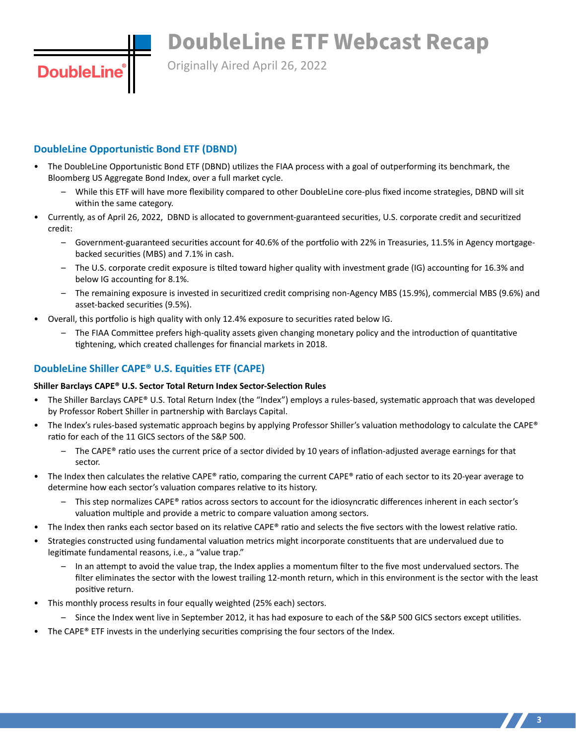Originally Aired April 26, 2022

# **DoubleLine Opportunistic Bond ETF (DBND)**

**DoubleLine** 

- The DoubleLine Opportunistic Bond ETF (DBND) utilizes the FIAA process with a goal of outperforming its benchmark, the Bloomberg US Aggregate Bond Index, over a full market cycle.
	- While this ETF will have more flexibility compared to other DoubleLine core-plus fixed income strategies, DBND will sit within the same category.
- Currently, as of April 26, 2022, DBND is allocated to government-guaranteed securities, U.S. corporate credit and securitized credit:
	- Government-guaranteed securities account for 40.6% of the portfolio with 22% in Treasuries, 11.5% in Agency mortgagebacked securities (MBS) and 7.1% in cash.
	- The U.S. corporate credit exposure is tilted toward higher quality with investment grade (IG) accounting for 16.3% and below IG accounting for 8.1%.
	- The remaining exposure is invested in securitized credit comprising non-Agency MBS (15.9%), commercial MBS (9.6%) and asset-backed securities (9.5%).
- Overall, this portfolio is high quality with only 12.4% exposure to securities rated below IG.
	- The FIAA Committee prefers high-quality assets given changing monetary policy and the introduction of quantitative tightening, which created challenges for financial markets in 2018.

# **DoubleLine Shiller CAPE® U.S. Equities ETF (CAPE)**

# **Shiller Barclays CAPE® U.S. Sector Total Return Index Sector-Selection Rules**

- The Shiller Barclays CAPE® U.S. Total Return Index (the "Index") employs a rules-based, systematic approach that was developed by Professor Robert Shiller in partnership with Barclays Capital.
- The Index's rules-based systematic approach begins by applying Professor Shiller's valuation methodology to calculate the CAPE® ratio for each of the 11 GICS sectors of the S&P 500.
	- $-$  The CAPE® ratio uses the current price of a sector divided by 10 years of inflation-adjusted average earnings for that sector.
- The Index then calculates the relative CAPE® ratio, comparing the current CAPE® ratio of each sector to its 20-year average to determine how each sector's valuation compares relative to its history.
	- $-$  This step normalizes CAPE<sup>®</sup> ratios across sectors to account for the idiosyncratic differences inherent in each sector's valuation multiple and provide a metric to compare valuation among sectors.
- The Index then ranks each sector based on its relative CAPE® ratio and selects the five sectors with the lowest relative ratio.
- Strategies constructed using fundamental valuation metrics might incorporate constituents that are undervalued due to legitimate fundamental reasons, i.e., a "value trap."
	- In an attempt to avoid the value trap, the Index applies a momentum filter to the five most undervalued sectors. The filter eliminates the sector with the lowest trailing 12-month return, which in this environment is the sector with the least positive return.
- This monthly process results in four equally weighted (25% each) sectors.
	- Since the Index went live in September 2012, it has had exposure to each of the S&P 500 GICS sectors except utilities.
- The CAPE® ETF invests in the underlying securities comprising the four sectors of the Index.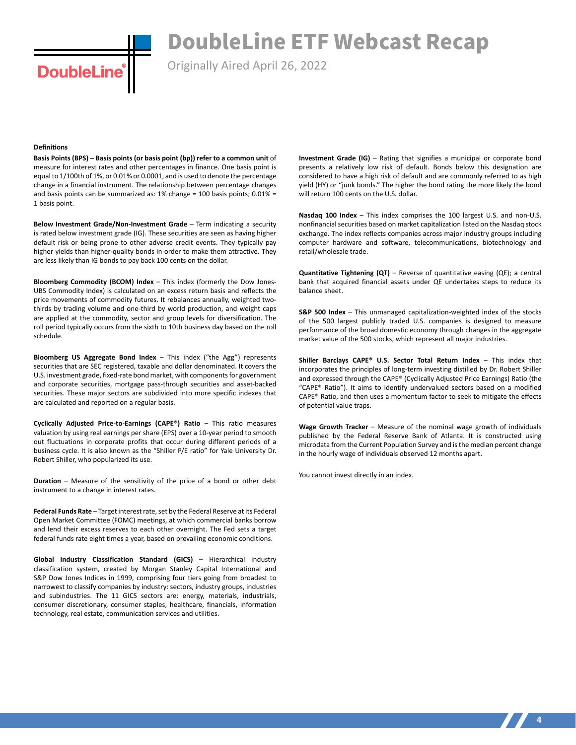Originally Aired April 26, 2022

#### **Definitions**

**DoubleLine** 

**Basis Points (BPS) – Basis points (or basis point (bp)) refer to a common unit** of measure for interest rates and other percentages in finance. One basis point is equal to 1/100th of 1%, or 0.01% or 0.0001, and is used to denote the percentage change in a financial instrument. The relationship between percentage changes and basis points can be summarized as: 1% change = 100 basis points; 0.01% = 1 basis point.

**Below Investment Grade/Non-Investment Grade** – Term indicating a security is rated below investment grade (IG). These securities are seen as having higher default risk or being prone to other adverse credit events. They typically pay higher yields than higher-quality bonds in order to make them attractive. They are less likely than IG bonds to pay back 100 cents on the dollar.

**Bloomberg Commodity (BCOM) Index** – This index (formerly the Dow Jones-UBS Commodity Index) is calculated on an excess return basis and reflects the price movements of commodity futures. It rebalances annually, weighted twothirds by trading volume and one-third by world production, and weight caps are applied at the commodity, sector and group levels for diversification. The roll period typically occurs from the sixth to 10th business day based on the roll schedule.

**Bloomberg US Aggregate Bond Index** – This index ("the Agg") represents securities that are SEC registered, taxable and dollar denominated. It covers the U.S. investment grade, fixed-rate bond market, with components for government and corporate securities, mortgage pass-through securities and asset-backed securities. These major sectors are subdivided into more specific indexes that are calculated and reported on a regular basis.

**Cyclically Adjusted Price-to-Earnings (CAPE®) Ratio** – This ratio measures valuation by using real earnings per share (EPS) over a 10-year period to smooth out fluctuations in corporate profits that occur during different periods of a business cycle. It is also known as the "Shiller P/E ratio" for Yale University Dr. Robert Shiller, who popularized its use.

**Duration** – Measure of the sensitivity of the price of a bond or other debt instrument to a change in interest rates.

**Federal Funds Rate** – Target interest rate, set by the Federal Reserve at its Federal Open Market Committee (FOMC) meetings, at which commercial banks borrow and lend their excess reserves to each other overnight. The Fed sets a target federal funds rate eight times a year, based on prevailing economic conditions.

**Global Industry Classification Standard (GICS)** – Hierarchical industry classification system, created by Morgan Stanley Capital International and S&P Dow Jones Indices in 1999, comprising four tiers going from broadest to narrowest to classify companies by industry: sectors, industry groups, industries and subindustries. The 11 GICS sectors are: energy, materials, industrials, consumer discretionary, consumer staples, healthcare, financials, information technology, real estate, communication services and utilities.

**Investment Grade (IG)** – Rating that signifies a municipal or corporate bond presents a relatively low risk of default. Bonds below this designation are considered to have a high risk of default and are commonly referred to as high yield (HY) or "junk bonds." The higher the bond rating the more likely the bond will return 100 cents on the U.S. dollar.

**Nasdaq 100 Index** – This index comprises the 100 largest U.S. and non-U.S. nonfinancial securities based on market capitalization listed on the Nasdaq stock exchange. The index reflects companies across major industry groups including computer hardware and software, telecommunications, biotechnology and retail/wholesale trade.

**Quantitative Tightening (QT)** – Reverse of quantitative easing (QE); a central bank that acquired financial assets under QE undertakes steps to reduce its balance sheet.

**S&P 500 Index** - This unmanaged capitalization-weighted index of the stocks of the 500 largest publicly traded U.S. companies is designed to measure performance of the broad domestic economy through changes in the aggregate market value of the 500 stocks, which represent all major industries.

**Shiller Barclays CAPE® U.S. Sector Total Return Index** – This index that incorporates the principles of long-term investing distilled by Dr. Robert Shiller and expressed through the CAPE® (Cyclically Adjusted Price Earnings) Ratio (the "CAPE® Ratio"). It aims to identify undervalued sectors based on a modified CAPE® Ratio, and then uses a momentum factor to seek to mitigate the effects of potential value traps.

Wage Growth Tracker - Measure of the nominal wage growth of individuals published by the Federal Reserve Bank of Atlanta. It is constructed using microdata from the Current Population Survey and is the median percent change in the hourly wage of individuals observed 12 months apart.

You cannot invest directly in an index.